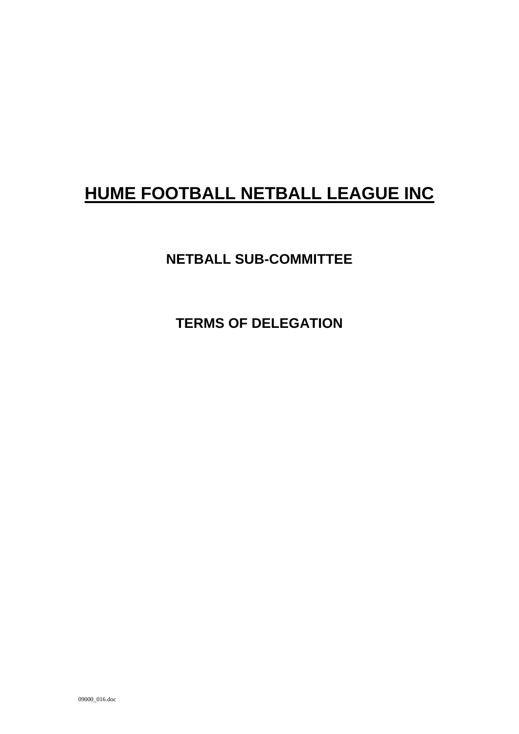# **HUME FOOTBALL NETBALL LEAGUE INC**

# **NETBALL SUB-COMMITTEE**

**TERMS OF DELEGATION**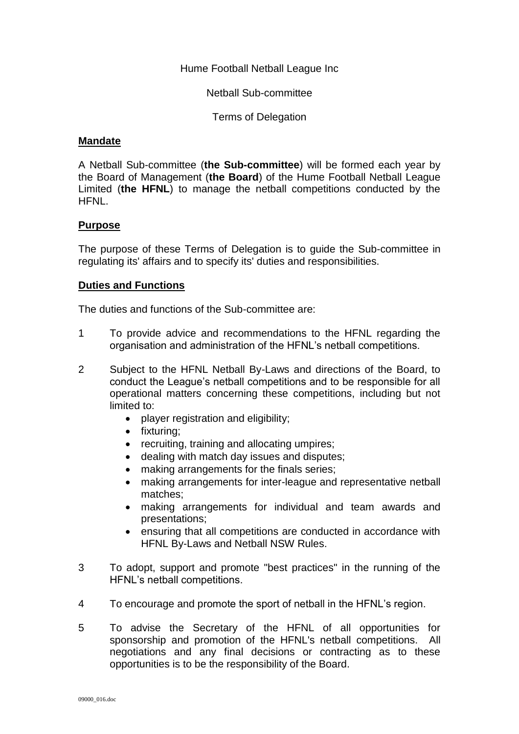Hume Football Netball League Inc

Netball Sub-committee

Terms of Delegation

#### **Mandate**

A Netball Sub-committee (**the Sub-committee**) will be formed each year by the Board of Management (**the Board**) of the Hume Football Netball League Limited (**the HFNL**) to manage the netball competitions conducted by the HFNL.

#### **Purpose**

The purpose of these Terms of Delegation is to guide the Sub-committee in regulating its' affairs and to specify its' duties and responsibilities.

#### **Duties and Functions**

The duties and functions of the Sub-committee are:

- 1 To provide advice and recommendations to the HFNL regarding the organisation and administration of the HFNL's netball competitions.
- 2 Subject to the HFNL Netball By-Laws and directions of the Board, to conduct the League's netball competitions and to be responsible for all operational matters concerning these competitions, including but not limited to:
	- player registration and eligibility;
	- fixturing;
	- recruiting, training and allocating umpires;
	- dealing with match day issues and disputes;
	- making arrangements for the finals series;
	- making arrangements for inter-league and representative netball matches;
	- making arrangements for individual and team awards and presentations;
	- ensuring that all competitions are conducted in accordance with HFNL By-Laws and Netball NSW Rules.
- 3 To adopt, support and promote "best practices" in the running of the HFNL's netball competitions.
- 4 To encourage and promote the sport of netball in the HFNL's region.
- 5 To advise the Secretary of the HFNL of all opportunities for sponsorship and promotion of the HFNL's netball competitions. All negotiations and any final decisions or contracting as to these opportunities is to be the responsibility of the Board.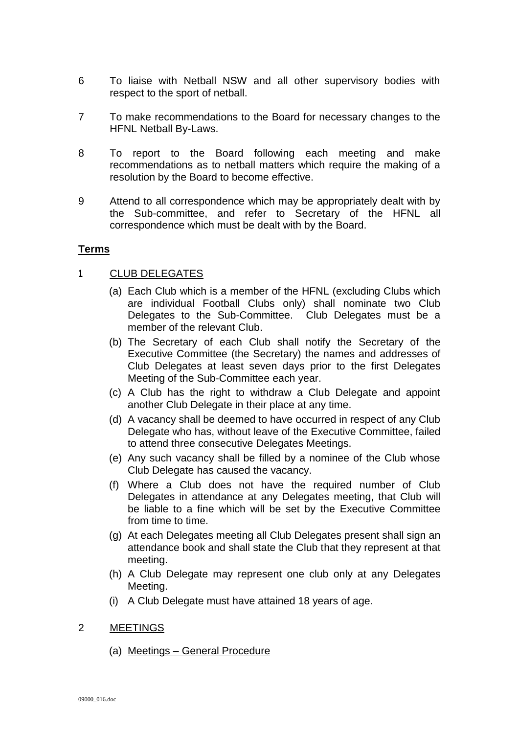- 6 To liaise with Netball NSW and all other supervisory bodies with respect to the sport of netball.
- 7 To make recommendations to the Board for necessary changes to the HFNL Netball By-Laws.
- 8 To report to the Board following each meeting and make recommendations as to netball matters which require the making of a resolution by the Board to become effective.
- 9 Attend to all correspondence which may be appropriately dealt with by the Sub-committee, and refer to Secretary of the HFNL all correspondence which must be dealt with by the Board.

#### **Terms**

#### **1** CLUB DELEGATES

- (a) Each Club which is a member of the HFNL (excluding Clubs which are individual Football Clubs only) shall nominate two Club Delegates to the Sub-Committee. Club Delegates must be a member of the relevant Club.
- (b) The Secretary of each Club shall notify the Secretary of the Executive Committee (the Secretary) the names and addresses of Club Delegates at least seven days prior to the first Delegates Meeting of the Sub-Committee each year.
- (c) A Club has the right to withdraw a Club Delegate and appoint another Club Delegate in their place at any time.
- (d) A vacancy shall be deemed to have occurred in respect of any Club Delegate who has, without leave of the Executive Committee, failed to attend three consecutive Delegates Meetings.
- (e) Any such vacancy shall be filled by a nominee of the Club whose Club Delegate has caused the vacancy.
- (f) Where a Club does not have the required number of Club Delegates in attendance at any Delegates meeting, that Club will be liable to a fine which will be set by the Executive Committee from time to time.
- (g) At each Delegates meeting all Club Delegates present shall sign an attendance book and shall state the Club that they represent at that meeting.
- (h) A Club Delegate may represent one club only at any Delegates Meeting.
- (i) A Club Delegate must have attained 18 years of age.

## 2 MEETINGS

(a) Meetings – General Procedure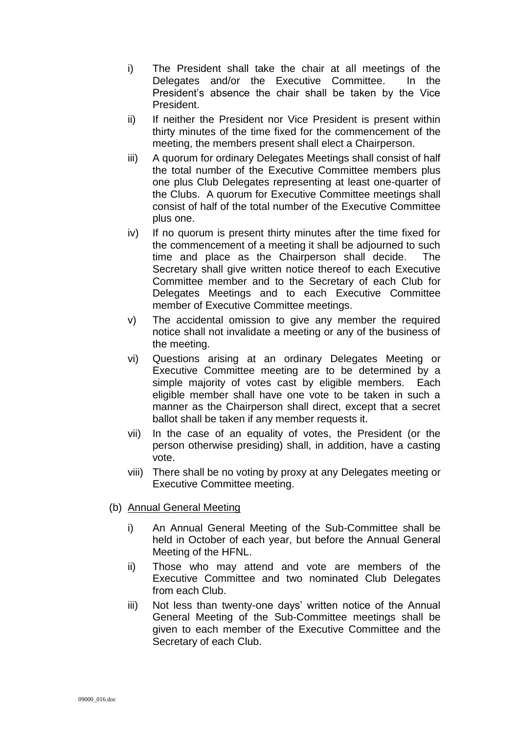- i) The President shall take the chair at all meetings of the Delegates and/or the Executive Committee. In the President's absence the chair shall be taken by the Vice President.
- ii) If neither the President nor Vice President is present within thirty minutes of the time fixed for the commencement of the meeting, the members present shall elect a Chairperson.
- iii) A quorum for ordinary Delegates Meetings shall consist of half the total number of the Executive Committee members plus one plus Club Delegates representing at least one-quarter of the Clubs. A quorum for Executive Committee meetings shall consist of half of the total number of the Executive Committee plus one.
- iv) If no quorum is present thirty minutes after the time fixed for the commencement of a meeting it shall be adjourned to such time and place as the Chairperson shall decide. The Secretary shall give written notice thereof to each Executive Committee member and to the Secretary of each Club for Delegates Meetings and to each Executive Committee member of Executive Committee meetings.
- v) The accidental omission to give any member the required notice shall not invalidate a meeting or any of the business of the meeting.
- vi) Questions arising at an ordinary Delegates Meeting or Executive Committee meeting are to be determined by a simple majority of votes cast by eligible members. Each eligible member shall have one vote to be taken in such a manner as the Chairperson shall direct, except that a secret ballot shall be taken if any member requests it.
- vii) In the case of an equality of votes, the President (or the person otherwise presiding) shall, in addition, have a casting vote.
- viii) There shall be no voting by proxy at any Delegates meeting or Executive Committee meeting.

## (b) Annual General Meeting

- i) An Annual General Meeting of the Sub-Committee shall be held in October of each year, but before the Annual General Meeting of the HFNL.
- ii) Those who may attend and vote are members of the Executive Committee and two nominated Club Delegates from each Club.
- iii) Not less than twenty-one days' written notice of the Annual General Meeting of the Sub-Committee meetings shall be given to each member of the Executive Committee and the Secretary of each Club.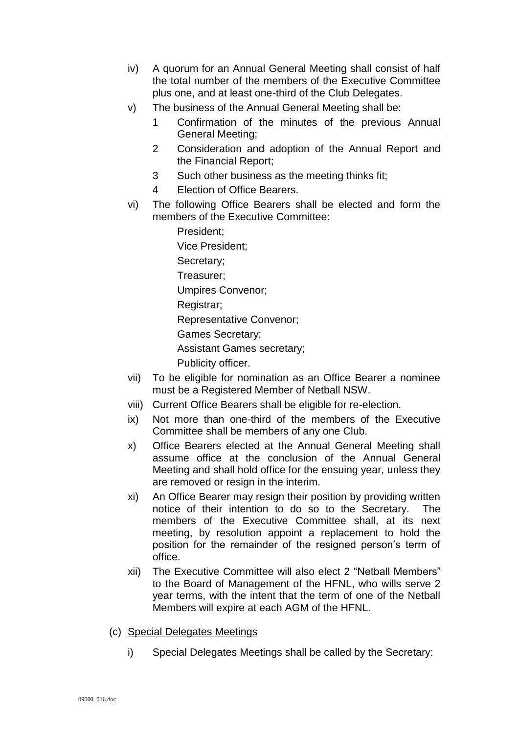- iv) A quorum for an Annual General Meeting shall consist of half the total number of the members of the Executive Committee plus one, and at least one-third of the Club Delegates.
- v) The business of the Annual General Meeting shall be:
	- 1 Confirmation of the minutes of the previous Annual General Meeting;
	- 2 Consideration and adoption of the Annual Report and the Financial Report;
	- 3 Such other business as the meeting thinks fit;
	- 4 Election of Office Bearers.
- vi) The following Office Bearers shall be elected and form the members of the Executive Committee:

President; Vice President; Secretary; Treasurer; Umpires Convenor; Registrar; Representative Convenor; Games Secretary;

Assistant Games secretary;

Publicity officer.

- vii) To be eligible for nomination as an Office Bearer a nominee must be a Registered Member of Netball NSW.
- viii) Current Office Bearers shall be eligible for re-election.
- ix) Not more than one-third of the members of the Executive Committee shall be members of any one Club.
- x) Office Bearers elected at the Annual General Meeting shall assume office at the conclusion of the Annual General Meeting and shall hold office for the ensuing year, unless they are removed or resign in the interim.
- xi) An Office Bearer may resign their position by providing written notice of their intention to do so to the Secretary. The members of the Executive Committee shall, at its next meeting, by resolution appoint a replacement to hold the position for the remainder of the resigned person's term of office.
- xii) The Executive Committee will also elect 2 "Netball Members" to the Board of Management of the HFNL, who wills serve 2 year terms, with the intent that the term of one of the Netball Members will expire at each AGM of the HFNL.
- (c) Special Delegates Meetings
	- i) Special Delegates Meetings shall be called by the Secretary: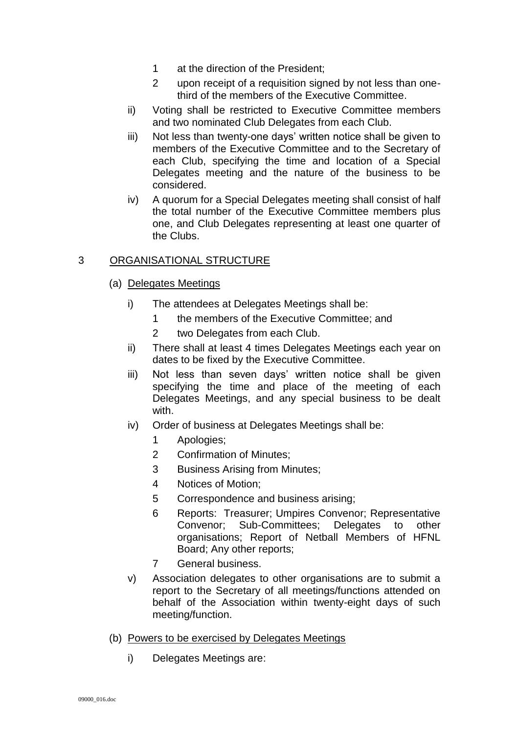- 1 at the direction of the President;
- 2 upon receipt of a requisition signed by not less than onethird of the members of the Executive Committee.
- ii) Voting shall be restricted to Executive Committee members and two nominated Club Delegates from each Club.
- iii) Not less than twenty-one days' written notice shall be given to members of the Executive Committee and to the Secretary of each Club, specifying the time and location of a Special Delegates meeting and the nature of the business to be considered.
- iv) A quorum for a Special Delegates meeting shall consist of half the total number of the Executive Committee members plus one, and Club Delegates representing at least one quarter of the Clubs.

## 3 ORGANISATIONAL STRUCTURE

- (a) Delegates Meetings
	- i) The attendees at Delegates Meetings shall be:
		- 1 the members of the Executive Committee; and
		- 2 two Delegates from each Club.
	- ii) There shall at least 4 times Delegates Meetings each year on dates to be fixed by the Executive Committee.
	- iii) Not less than seven days' written notice shall be given specifying the time and place of the meeting of each Delegates Meetings, and any special business to be dealt with.
	- iv) Order of business at Delegates Meetings shall be:
		- 1 Apologies;
		- 2 Confirmation of Minutes;
		- 3 Business Arising from Minutes;
		- 4 Notices of Motion;
		- 5 Correspondence and business arising;
		- 6 Reports: Treasurer; Umpires Convenor; Representative Convenor; Sub-Committees; Delegates to other organisations; Report of Netball Members of HFNL Board; Any other reports;
		- 7 General business.
	- v) Association delegates to other organisations are to submit a report to the Secretary of all meetings/functions attended on behalf of the Association within twenty-eight days of such meeting/function.
- (b) Powers to be exercised by Delegates Meetings
	- i) Delegates Meetings are: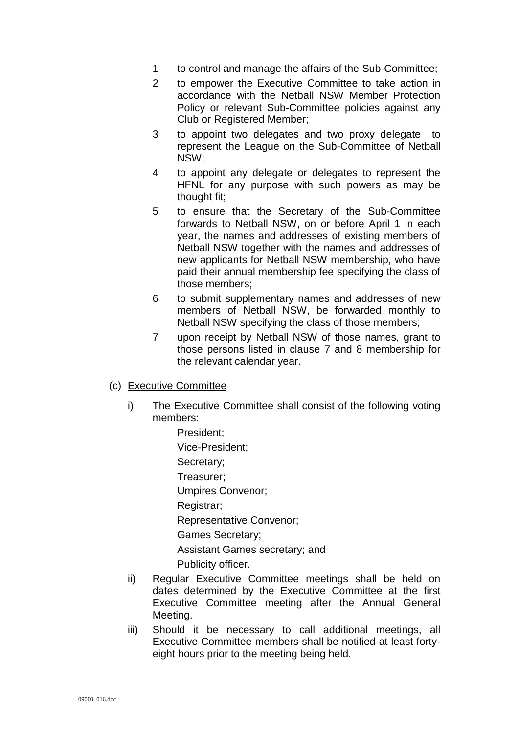- 1 to control and manage the affairs of the Sub-Committee;
- 2 to empower the Executive Committee to take action in accordance with the Netball NSW Member Protection Policy or relevant Sub-Committee policies against any Club or Registered Member;
- 3 to appoint two delegates and two proxy delegate to represent the League on the Sub-Committee of Netball NSW;
- 4 to appoint any delegate or delegates to represent the HFNL for any purpose with such powers as may be thought fit;
- 5 to ensure that the Secretary of the Sub-Committee forwards to Netball NSW, on or before April 1 in each year, the names and addresses of existing members of Netball NSW together with the names and addresses of new applicants for Netball NSW membership, who have paid their annual membership fee specifying the class of those members;
- 6 to submit supplementary names and addresses of new members of Netball NSW, be forwarded monthly to Netball NSW specifying the class of those members;
- 7 upon receipt by Netball NSW of those names, grant to those persons listed in clause 7 and 8 membership for the relevant calendar year.
- (c) Executive Committee
	- i) The Executive Committee shall consist of the following voting members:
		- President; Vice-President; Secretary; Treasurer; Umpires Convenor; Registrar; Representative Convenor; Games Secretary; Assistant Games secretary; and Publicity officer.
	- ii) Regular Executive Committee meetings shall be held on dates determined by the Executive Committee at the first Executive Committee meeting after the Annual General Meeting.
	- iii) Should it be necessary to call additional meetings, all Executive Committee members shall be notified at least fortyeight hours prior to the meeting being held.